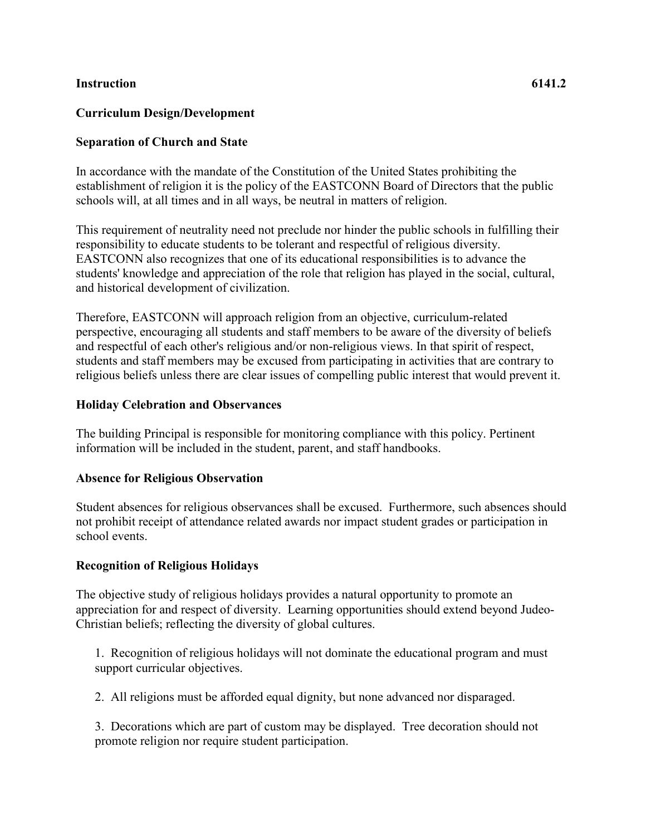#### **Instruction 6141.2**

## **Curriculum Design/Development**

# **Separation of Church and State**

In accordance with the mandate of the Constitution of the United States prohibiting the establishment of religion it is the policy of the EASTCONN Board of Directors that the public schools will, at all times and in all ways, be neutral in matters of religion.

This requirement of neutrality need not preclude nor hinder the public schools in fulfilling their responsibility to educate students to be tolerant and respectful of religious diversity. EASTCONN also recognizes that one of its educational responsibilities is to advance the students' knowledge and appreciation of the role that religion has played in the social, cultural, and historical development of civilization.

Therefore, EASTCONN will approach religion from an objective, curriculum-related perspective, encouraging all students and staff members to be aware of the diversity of beliefs and respectful of each other's religious and/or non-religious views. In that spirit of respect, students and staff members may be excused from participating in activities that are contrary to religious beliefs unless there are clear issues of compelling public interest that would prevent it.

### **Holiday Celebration and Observances**

The building Principal is responsible for monitoring compliance with this policy. Pertinent information will be included in the student, parent, and staff handbooks.

## **Absence for Religious Observation**

Student absences for religious observances shall be excused. Furthermore, such absences should not prohibit receipt of attendance related awards nor impact student grades or participation in school events.

## **Recognition of Religious Holidays**

The objective study of religious holidays provides a natural opportunity to promote an appreciation for and respect of diversity. Learning opportunities should extend beyond Judeo-Christian beliefs; reflecting the diversity of global cultures.

1. Recognition of religious holidays will not dominate the educational program and must support curricular objectives.

2. All religions must be afforded equal dignity, but none advanced nor disparaged.

3. Decorations which are part of custom may be displayed. Tree decoration should not promote religion nor require student participation.